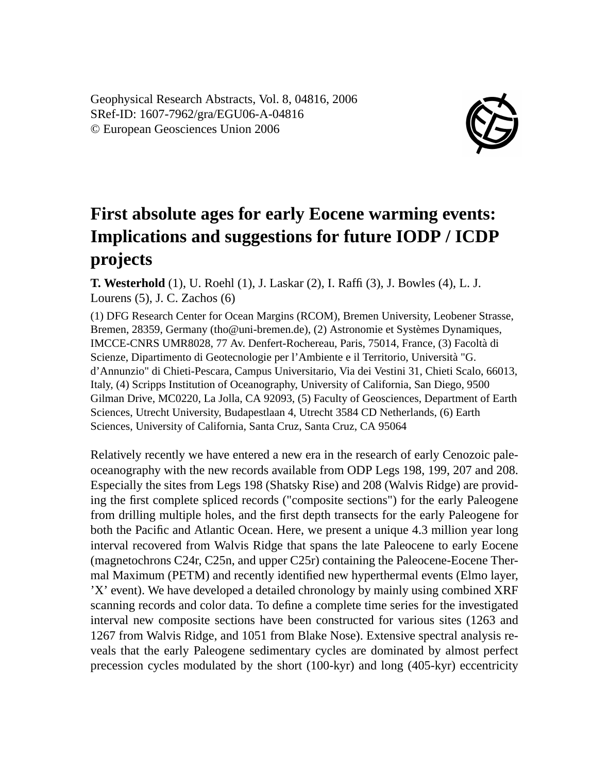Geophysical Research Abstracts, Vol. 8, 04816, 2006 SRef-ID: 1607-7962/gra/EGU06-A-04816 © European Geosciences Union 2006



## **First absolute ages for early Eocene warming events: Implications and suggestions for future IODP / ICDP projects**

**T. Westerhold** (1), U. Roehl (1), J. Laskar (2), I. Raffi (3), J. Bowles (4), L. J. Lourens (5), J. C. Zachos (6)

(1) DFG Research Center for Ocean Margins (RCOM), Bremen University, Leobener Strasse, Bremen, 28359, Germany (tho@uni-bremen.de), (2) Astronomie et Systèmes Dynamiques, IMCCE-CNRS UMR8028, 77 Av. Denfert-Rochereau, Paris, 75014, France, (3) Facoltà di Scienze, Dipartimento di Geotecnologie per l'Ambiente e il Territorio, Università "G. d'Annunzio" di Chieti-Pescara, Campus Universitario, Via dei Vestini 31, Chieti Scalo, 66013, Italy, (4) Scripps Institution of Oceanography, University of California, San Diego, 9500 Gilman Drive, MC0220, La Jolla, CA 92093, (5) Faculty of Geosciences, Department of Earth Sciences, Utrecht University, Budapestlaan 4, Utrecht 3584 CD Netherlands, (6) Earth Sciences, University of California, Santa Cruz, Santa Cruz, CA 95064

Relatively recently we have entered a new era in the research of early Cenozoic paleoceanography with the new records available from ODP Legs 198, 199, 207 and 208. Especially the sites from Legs 198 (Shatsky Rise) and 208 (Walvis Ridge) are providing the first complete spliced records ("composite sections") for the early Paleogene from drilling multiple holes, and the first depth transects for the early Paleogene for both the Pacific and Atlantic Ocean. Here, we present a unique 4.3 million year long interval recovered from Walvis Ridge that spans the late Paleocene to early Eocene (magnetochrons C24r, C25n, and upper C25r) containing the Paleocene-Eocene Thermal Maximum (PETM) and recently identified new hyperthermal events (Elmo layer, 'X' event). We have developed a detailed chronology by mainly using combined XRF scanning records and color data. To define a complete time series for the investigated interval new composite sections have been constructed for various sites (1263 and 1267 from Walvis Ridge, and 1051 from Blake Nose). Extensive spectral analysis reveals that the early Paleogene sedimentary cycles are dominated by almost perfect precession cycles modulated by the short (100-kyr) and long (405-kyr) eccentricity